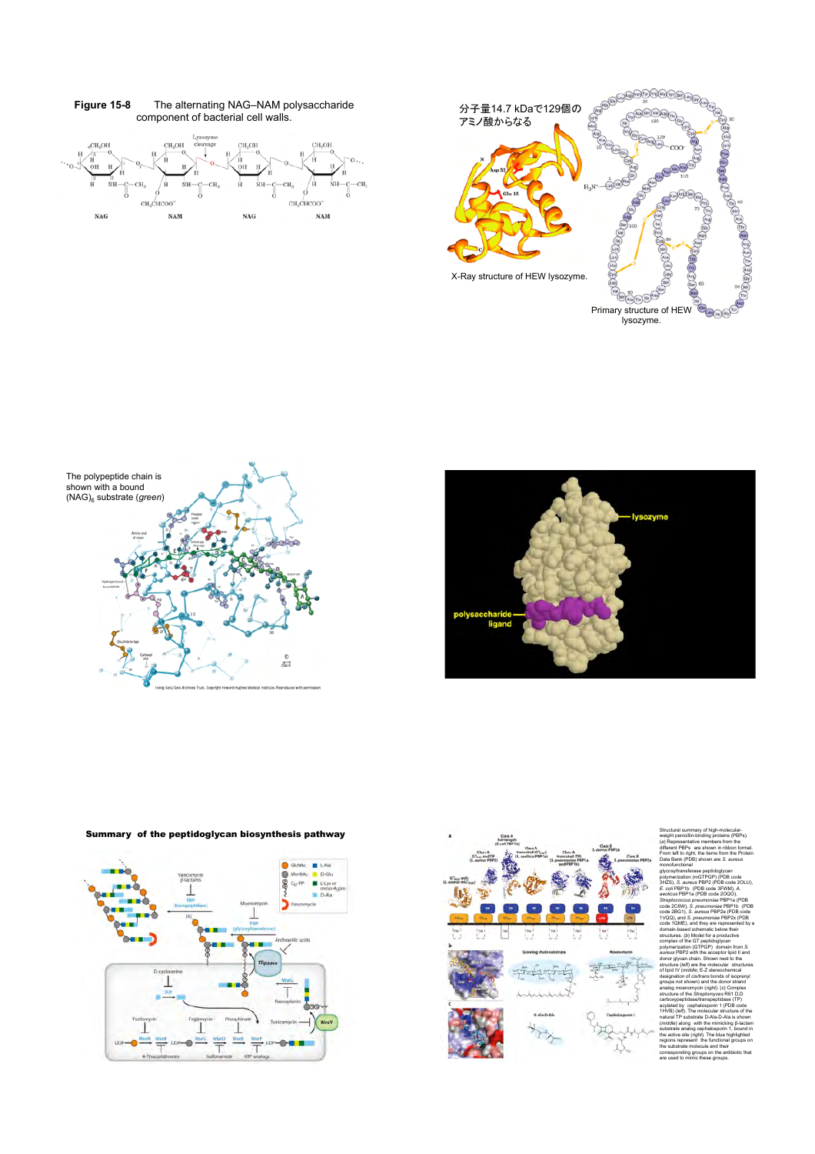

**Figure 15-8** The alternating NAG–NAM polysaccharide







Summary of the peptidoglycan biosynthesis pathway





weight penicillin-binding proteins (PBPs). (*a*) Representative members from the different PBPs are shown in ribbon format. From left to right, the items from the Protein Data Bank (PDB) shown are *S. aureus* monofunctional glycosyltransferase peptidoglycan polymerization (mGTPGP) (PDB code 3HZS), *S. aureus* PBP2 (PDB code 2OLU), *E. coli* PBP1b (PDB code 3FWM), *A. aeolicus* PBP1a (PDB code 2OQO), *Streptococcus pneumoniae* PBP1a (PDB code 2C6W), *S. pneumoniae* PBP1b (PDB code 2BG1), *S. aureus* PBP2a (PDB code 1VQQ), and *S. pneumoniae* PBP2x (PDB code 1QME), and they are represented by a domain-based schematic below their structures. (*b*) Model for a productive complex of the GT peptidoglycan polymerization (GTPGP) domain from *S. aureus* PBP2 with the acceptor lipid II and donor glycan chain. Shown next to the structure (*left*) are the molecular structures of lipid IV (*middle*; E-Z stereochemical designation of *cis/trans* bonds of isoprenyl groups not shown) and the donor strand analog moenomycin (*right*). (*c*) Complex structure of the *St* carboxypeptidase/transpeptidase (TP) acylated by cephalosporin 1 (PDB code 1HVB) (*left*). The molecular structure of the natural TP substrate D-Ala-D-Ala is shown (*middle*) along with the mimicking **B**-lactam substrate analog cephalosporin 1, bound in the active site (*right*). The blue highlighted regions represent the functional groups on the<br>regi<br>the corresponding groups on the antibiotic that are used to mimic these groups.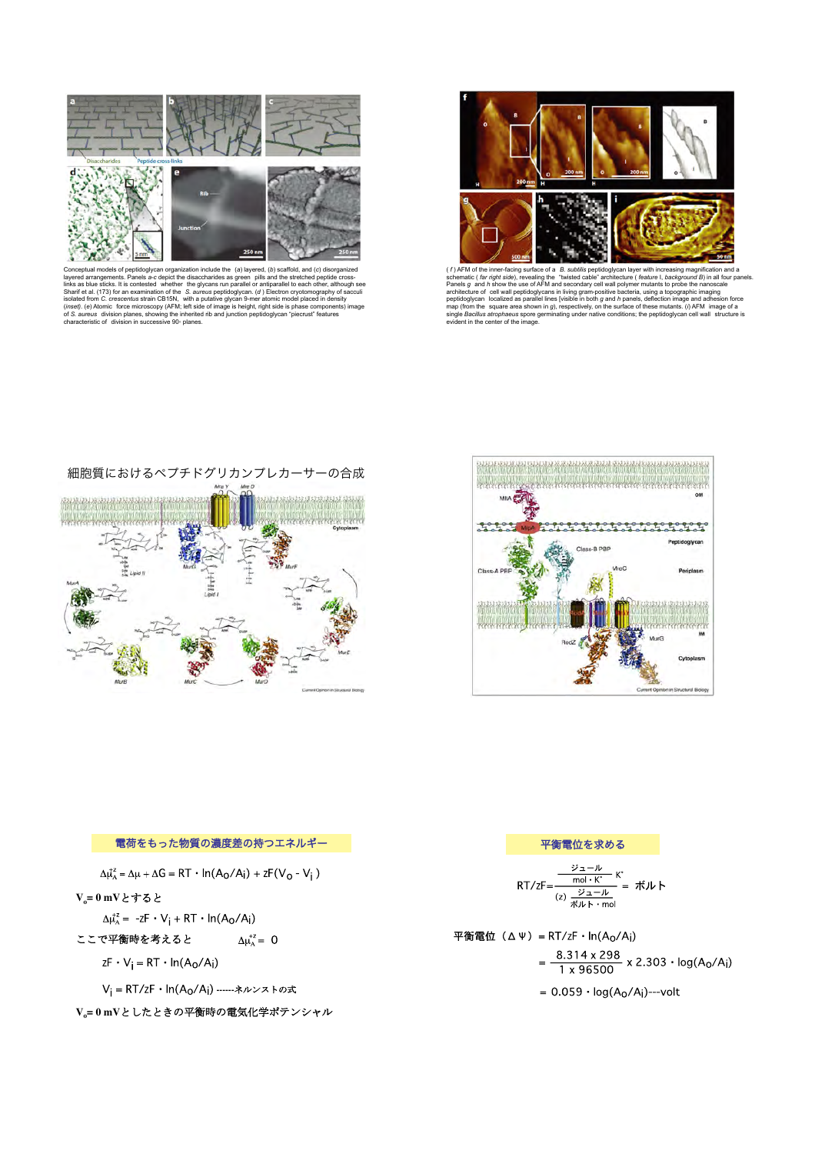

Conceptual models of peptidoglycan organization include the (a) layered, (b) scaffold, and (c) disorganized<br>layered arangements. Panels a-c depict the disaccharides as green pills and the stretched peptide cross-<br>links as



( $f$ ) AFM of the inner-facing surface of a  $B$ . subtilis peptidoglycan layer with increasing magnification and a<br>schematic ( $far\dot{rad}$ ), revealing the "twisted cable" architecture ( $f$ eature). Deckground  $B$ ) in all four pa

細胞質におけるペプチドグリカンプレカーサーの合成







V<sub>i</sub> = RT/zF · ln(A<sub>O</sub>/A<sub>i</sub>) ------ネルンストの式

V<sub>o</sub>=0mVとしたときの平衡時の電気化学ポテンシャル

## 平衡電位を求める

$$
RT/zF = \frac{\frac{\cancel{v}_1 - \cancel{v}}{\text{mol} \cdot \cancel{K}} \cdot \cancel{K}}{\frac{\cancel{v}_1 - \cancel{v}}{\cancel{K}} \cdot \cancel{K} \cdot \text{mol}} = \frac{\cancel{W}}{\text{mol} \cdot \cancel{K}}
$$

平衡電位 (ΔΨ) = RT/zF ·  $ln(A_0/A_1)$  $=\frac{8.314 \times 298}{1 \times 96500} \times 2.303 \cdot \log(A_0/A_1)$ 

 $= 0.059 \cdot log(A_0/A_i)$ ---volt